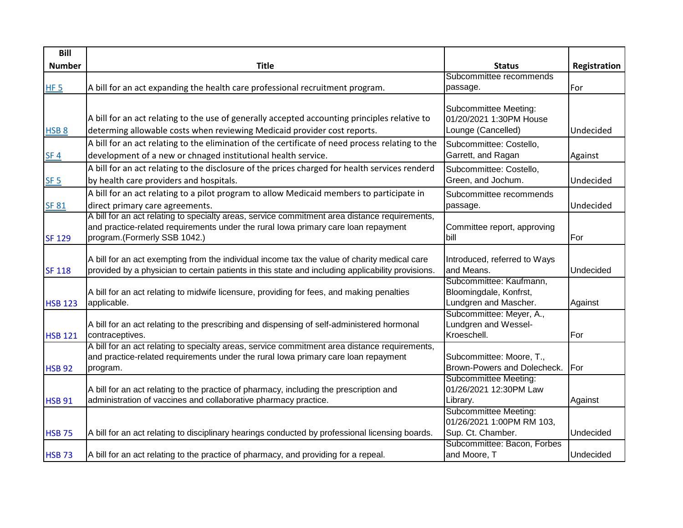| Bill             |                                                                                                                                                                                                   |                                                           |              |
|------------------|---------------------------------------------------------------------------------------------------------------------------------------------------------------------------------------------------|-----------------------------------------------------------|--------------|
| <b>Number</b>    | <b>Title</b>                                                                                                                                                                                      | <b>Status</b>                                             | Registration |
|                  |                                                                                                                                                                                                   | Subcommittee recommends                                   |              |
| HF <sub>5</sub>  | A bill for an act expanding the health care professional recruitment program.                                                                                                                     | passage.                                                  | For          |
|                  |                                                                                                                                                                                                   | Subcommittee Meeting:                                     |              |
|                  | A bill for an act relating to the use of generally accepted accounting principles relative to                                                                                                     | 01/20/2021 1:30PM House                                   |              |
| HSB <sub>8</sub> | determing allowable costs when reviewing Medicaid provider cost reports.                                                                                                                          | Lounge (Cancelled)                                        | Undecided    |
|                  | A bill for an act relating to the elimination of the certificate of need process relating to the                                                                                                  | Subcommittee: Costello,                                   |              |
| SF <sub>4</sub>  | development of a new or chnaged institutional health service.                                                                                                                                     | Garrett, and Ragan                                        | Against      |
|                  | A bill for an act relating to the disclosure of the prices charged for health services renderd                                                                                                    | Subcommittee: Costello,                                   |              |
| SF <sub>5</sub>  | by health care providers and hospitals.                                                                                                                                                           | Green, and Jochum.                                        | Undecided    |
|                  | A bill for an act relating to a pilot program to allow Medicaid members to participate in                                                                                                         | Subcommittee recommends                                   |              |
| <b>SF 81</b>     | direct primary care agreements.                                                                                                                                                                   | passage.                                                  | Undecided    |
|                  | A bill for an act relating to specialty areas, service commitment area distance requirements,                                                                                                     |                                                           |              |
|                  | and practice-related requirements under the rural lowa primary care loan repayment                                                                                                                | Committee report, approving                               |              |
| <b>SF 129</b>    | program.(Formerly SSB 1042.)                                                                                                                                                                      | bill                                                      | For          |
|                  |                                                                                                                                                                                                   |                                                           |              |
|                  | A bill for an act exempting from the individual income tax the value of charity medical care<br>provided by a physician to certain patients in this state and including applicability provisions. | Introduced, referred to Ways<br>and Means.                | Undecided    |
| <b>SF 118</b>    |                                                                                                                                                                                                   | Subcommittee: Kaufmann,                                   |              |
|                  | A bill for an act relating to midwife licensure, providing for fees, and making penalties                                                                                                         | Bloomingdale, Konfrst,                                    |              |
| <b>HSB 123</b>   | applicable.                                                                                                                                                                                       | Lundgren and Mascher.                                     | Against      |
|                  |                                                                                                                                                                                                   | Subcommittee: Meyer, A.,                                  |              |
|                  | A bill for an act relating to the prescribing and dispensing of self-administered hormonal                                                                                                        | Lundgren and Wessel-                                      |              |
| <b>HSB 121</b>   | contraceptives.                                                                                                                                                                                   | Kroeschell.                                               | For          |
|                  | A bill for an act relating to specialty areas, service commitment area distance requirements,                                                                                                     |                                                           |              |
|                  | and practice-related requirements under the rural lowa primary care loan repayment                                                                                                                | Subcommittee: Moore, T.,                                  |              |
| <b>HSB 92</b>    | program.                                                                                                                                                                                          | Brown-Powers and Dolecheck.                               | For          |
|                  |                                                                                                                                                                                                   | Subcommittee Meeting:                                     |              |
|                  | A bill for an act relating to the practice of pharmacy, including the prescription and                                                                                                            | 01/26/2021 12:30PM Law                                    |              |
| <b>HSB 91</b>    | administration of vaccines and collaborative pharmacy practice.                                                                                                                                   | Library.                                                  | Against      |
|                  |                                                                                                                                                                                                   | <b>Subcommittee Meeting:</b><br>01/26/2021 1:00PM RM 103, |              |
| <b>HSB 75</b>    | A bill for an act relating to disciplinary hearings conducted by professional licensing boards.                                                                                                   | Sup. Ct. Chamber.                                         | Undecided    |
|                  |                                                                                                                                                                                                   | Subcommittee: Bacon, Forbes                               |              |
| <b>HSB 73</b>    | A bill for an act relating to the practice of pharmacy, and providing for a repeal.                                                                                                               | and Moore, T                                              | Undecided    |